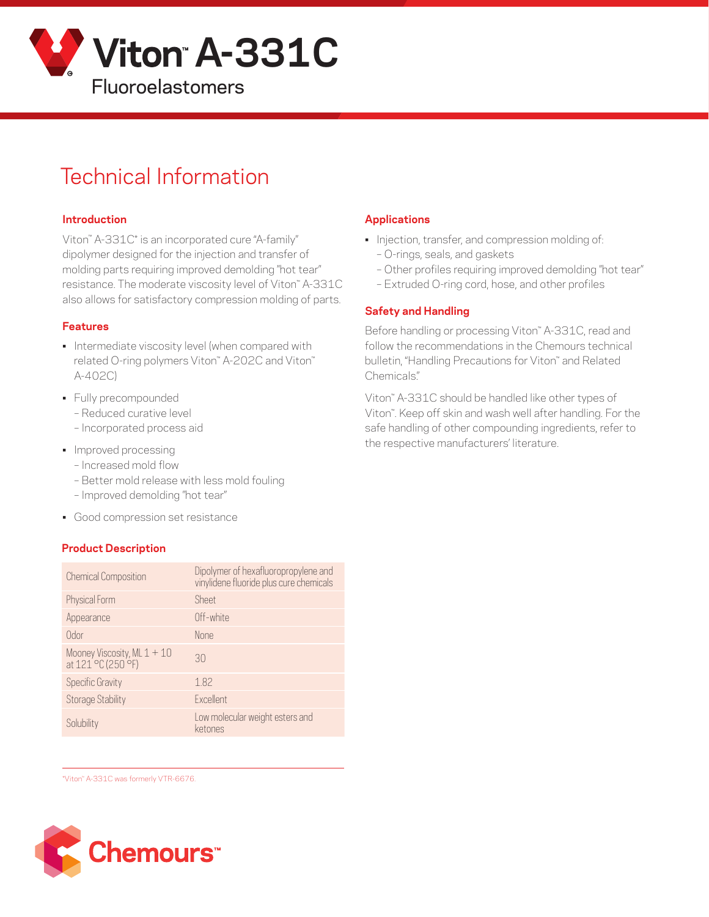

# Technical Information

#### **Introduction**

Viton™ A-331C\* is an incorporated cure "A-family" dipolymer designed for the injection and transfer of molding parts requiring improved demolding "hot tear" resistance. The moderate viscosity level of Viton™ A-331C also allows for satisfactory compression molding of parts.

#### **Features**

- Intermediate viscosity level (when compared with related O-ring polymers Viton™ A-202C and Viton™ A-402C)
- Fully precompounded
	- Reduced curative level
	- Incorporated process aid
- Improved processing
	- Increased mold flow
	- Better mold release with less mold fouling
	- Improved demolding "hot tear"
- Good compression set resistance

#### **Product Description**

| <b>Chemical Composition</b>                                                   | Dipolymer of hexafluoropropylene and<br>vinylidene fluoride plus cure chemicals |
|-------------------------------------------------------------------------------|---------------------------------------------------------------------------------|
| Physical Form                                                                 | Sheet                                                                           |
| Appearance                                                                    | Off-white                                                                       |
| Odor                                                                          | <b>None</b>                                                                     |
| Mooney Viscosity, ML $1 + 10$<br>at 121 <sup>'o</sup> C (250 <sup>'o</sup> F) | 30                                                                              |
| <b>Specific Gravity</b>                                                       | 1.82                                                                            |
| <b>Storage Stability</b>                                                      | <b>Excellent</b>                                                                |
| Solubility                                                                    | Low molecular weight esters and<br>ketones                                      |

\*Viton™ A-331C was formerly VTR-6676.



# **Applications**

- Injection, transfer, and compression molding of:
	- O-rings, seals, and gaskets
	- Other profiles requiring improved demolding "hot tear"
	- Extruded O-ring cord, hose, and other profiles

# **Safety and Handling**

Before handling or processing Viton™ A-331C, read and follow the recommendations in the Chemours technical bulletin, "Handling Precautions for Viton" and Related Chemicals."

Viton™ A-331C should be handled like other types of Viton™. Keep off skin and wash well after handling. For the safe handling of other compounding ingredients, refer to the respective manufacturers' literature.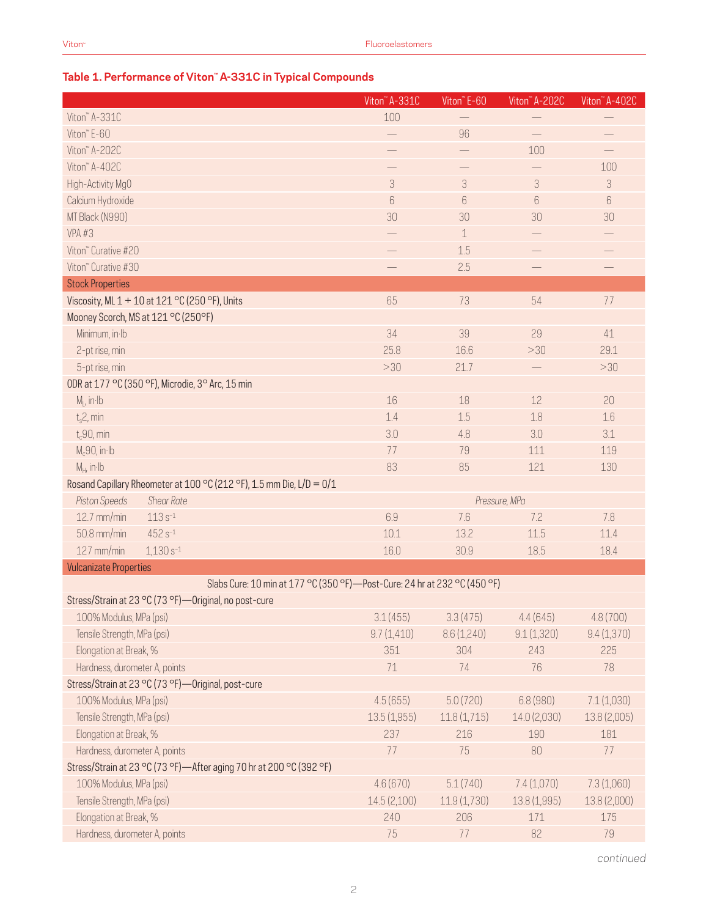# **Table 1. Performance of Viton™ A-331C in Typical Compounds**

|                                                                             | Viton" A-331C               | Viton" E-60              | Viton <sup>"</sup> A-202C | Viton" A-402C |
|-----------------------------------------------------------------------------|-----------------------------|--------------------------|---------------------------|---------------|
| Viton" A-331C                                                               | 100                         |                          |                           |               |
| Viton" E-60                                                                 |                             | 96                       |                           |               |
| Viton" A-202C                                                               |                             | $\overline{\phantom{0}}$ | 100                       |               |
| Viton" A-402C                                                               |                             |                          |                           | 100           |
| High-Activity MgO                                                           | $\ensuremath{\mathfrak{Z}}$ | 3                        | 3                         | 3             |
| Calcium Hydroxide                                                           | $6\,$                       | $6\overline{6}$          | 6                         | $6\,$         |
| MT Black (N990)                                                             | 30                          | 30                       | 30                        | 30            |
| VPA#3                                                                       |                             | 1                        |                           |               |
| Viton" Curative #20                                                         |                             | 1.5                      |                           |               |
| Viton" Curative #30                                                         |                             | 2.5                      |                           |               |
| <b>Stock Properties</b>                                                     |                             |                          |                           |               |
| Viscosity, ML 1 + 10 at 121 °C (250 °F), Units                              | 65                          | 73                       | 54                        | 77            |
| Mooney Scorch, MS at 121 °C (250°F)                                         |                             |                          |                           |               |
| Minimum, in Ib                                                              | 34                          | 39                       | 29                        | 41            |
| 2-pt rise, min                                                              | 25.8                        | 16.6                     | >30                       | 29.1          |
| 5-pt rise, min                                                              | >30                         | 21.7                     |                           | >30           |
| ODR at 177 °C (350 °F), Microdie, 3° Arc, 15 min                            |                             |                          |                           |               |
| $M1$ , in Ib                                                                | 16                          | 18                       | 12                        | 20            |
| $t_s$ 2, min                                                                | 1.4                         | 1.5                      | 1.8                       | 1.6           |
| $t_c$ 90, min                                                               | 3.0                         | 4.8                      | 3.0                       | 3.1           |
| $M_c$ 90, in·lb                                                             | 77                          | 79                       | 111                       | 119           |
| $M_H$ , in Ib                                                               | 83                          | 85                       | 121                       | 130           |
| Rosand Capillary Rheometer at 100 °C (212 °F), 1.5 mm Die, L/D = 0/1        |                             |                          |                           |               |
| Piston Speeds<br><b>Shear Rate</b>                                          |                             |                          | Pressure, MPa             |               |
| 12.7 mm/min<br>$113s^{-1}$                                                  | 6.9                         | 7.6                      | 7.2                       | 7.8           |
| $452 s^{-1}$<br>50.8 mm/min                                                 | 10.1                        | 13.2                     | 11.5                      | 11.4          |
| 127 mm/min<br>$1,130s^{-1}$                                                 | 16.0                        | 30.9                     | 18.5                      | 18.4          |
| <b>Vulcanizate Properties</b>                                               |                             |                          |                           |               |
| Slabs Cure: 10 min at 177 °C (350 °F) - Post-Cure: 24 hr at 232 °C (450 °F) |                             |                          |                           |               |
| Stress/Strain at 23 °C (73 °F)-Original, no post-cure                       |                             |                          |                           |               |
| 100% Modulus, MPa (psi)                                                     | 3.1(455)                    | 3.3(475)                 | 4.4(645)                  | 4.8(700)      |
| Tensile Strength, MPa (psi)                                                 | 9.7(1,410)                  | 8.6(1,240)               | 9.1(1,320)                | 9.4(1,370)    |
| Elongation at Break, %                                                      | 351                         | 304                      | 243                       | 225           |
| Hardness, durometer A, points                                               | 71                          | 74                       | 76                        | 78            |
| Stress/Strain at 23 °C (73 °F) - Original, post-cure                        |                             |                          |                           |               |
| 100% Modulus, MPa (psi)                                                     | 4.5(655)                    | 5.0(720)                 | 6.8 (980)                 | 7.1(1,030)    |
| Tensile Strength, MPa (psi)                                                 | 13.5(1,955)                 | 11.8(1,715)              | 14.0 (2,030)              | 13.8 (2,005)  |
| Elongation at Break, %                                                      | 237                         | 216                      | 190                       | 181           |
| Hardness, durometer A, points                                               | 77                          | 75                       | 80                        | 77            |
| Stress/Strain at 23 °C (73 °F)-After aging 70 hr at 200 °C (392 °F)         |                             |                          |                           |               |
| 100% Modulus, MPa (psi)                                                     | 4.6(670)                    | 5.1(740)                 | 7.4 (1,070)               | 7.3 (1,060)   |
| Tensile Strength, MPa (psi)                                                 | 14.5(2,100)                 | 11.9(1,730)              | 13.8 (1,995)              | 13.8 (2,000)  |
| Elongation at Break, %                                                      | 240                         | 206                      | 171                       | 175           |
| Hardness, durometer A, points                                               | 75                          | 77                       | 82                        | 79            |

*continued*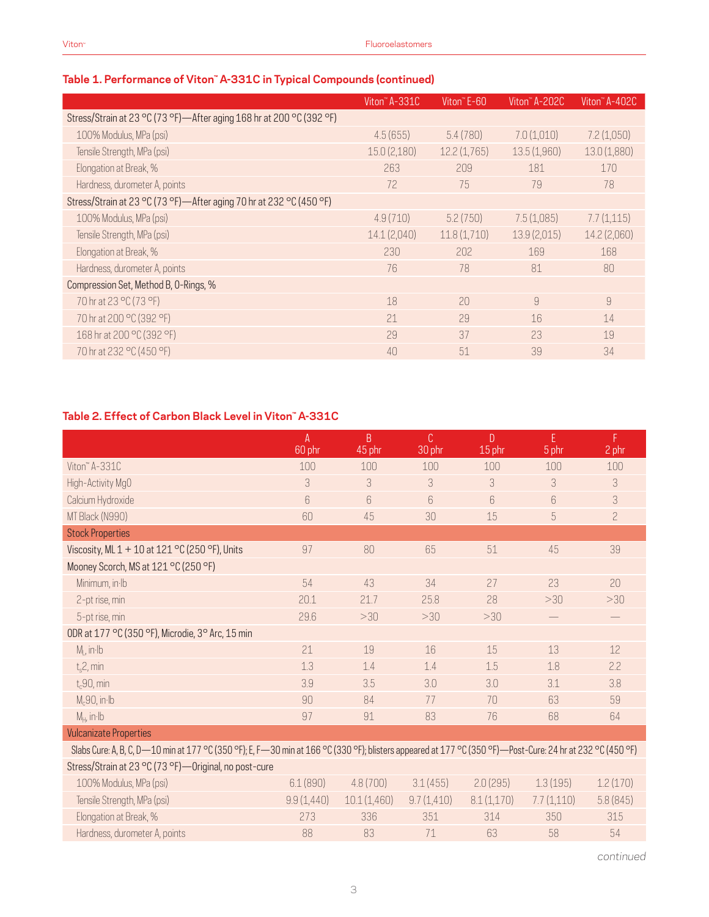# **Table 1. Performance of Viton™ A-331C in Typical Compounds (continued)**

|                                                                        | Viton" A-331C | Viton <sup>"</sup> E-60 | Viton" A-202C | Viton" A-402C  |
|------------------------------------------------------------------------|---------------|-------------------------|---------------|----------------|
| Stress/Strain at 23 °C (73 °F) - After aging 168 hr at 200 °C (392 °F) |               |                         |               |                |
| 100% Modulus, MPa (psi)                                                | 4.5(655)      | 5.4(780)                | 7.0(1,010)    | 7.2(1,050)     |
| Tensile Strength, MPa (psi)                                            | 15.0(2,180)   | 12.2(1,765)             | 13.5(1,960)   | 13.0 (1,880)   |
| Elongation at Break, %                                                 | 263           | 209                     | 181           | 170            |
| Hardness, durometer A, points                                          | 72            | 75                      | 79            | 78             |
| Stress/Strain at 23 °C (73 °F)—After aging 70 hr at 232 °C (450 °F)    |               |                         |               |                |
| 100% Modulus, MPa (psi)                                                | 4.9(710)      | 5.2(750)                | 7.5(1,085)    | 7.7(1,115)     |
| Tensile Strength, MPa (psi)                                            | 14.1(2,040)   | 11.8(1,710)             | 13.9(2,015)   | 14.2 (2,060)   |
| Elongation at Break, %                                                 | 230           | 202                     | 169           | 168            |
| Hardness, durometer A, points                                          | 76            | 78                      | 81            | 80             |
| Compression Set, Method B, O-Rings, %                                  |               |                         |               |                |
| 70 hr at 23 °C (73 °F)                                                 | 18            | 20                      | 9             | $\overline{9}$ |
| 70 hr at 200 °C (392 °F)                                               | 21            | 29                      | 16            | 14             |
| 168 hr at 200 °C (392 °F)                                              | 29            | 37                      | 23            | 19             |
| 70 hr at 232 °C (450 °F)                                               | 40            | 51                      | 39            | 34             |

# **Table 2. Effect of Carbon Black Level in Viton™ A-331C**

|                                                                                                                                                            | A<br>60 phr | B<br>45 phr | C.<br>30 phr | D<br>15 phr | E<br>5 phr | F<br>2 phr     |
|------------------------------------------------------------------------------------------------------------------------------------------------------------|-------------|-------------|--------------|-------------|------------|----------------|
| Viton" A-331C                                                                                                                                              | 100         | 100         | 100          | 100         | 100        | 100            |
| High-Activity MgO                                                                                                                                          | 3           | 3           | 3            | 3           | 3          | 3              |
| Calcium Hydroxide                                                                                                                                          | 6           | 6           | 6            | 6           | 6          | 3              |
| MT Black (N990)                                                                                                                                            | 60          | 45          | 30           | 15          | 5          | $\overline{c}$ |
| <b>Stock Properties</b>                                                                                                                                    |             |             |              |             |            |                |
| Viscosity, ML $1 + 10$ at $121$ °C (250 °F), Units                                                                                                         | 97          | 80          | 65           | 51          | 45         | 39             |
| Mooney Scorch, MS at 121 °C (250 °F)                                                                                                                       |             |             |              |             |            |                |
| Minimum, in Ib                                                                                                                                             | 54          | 43          | 34           | 27          | 23         | 20             |
| 2-pt rise, min                                                                                                                                             | 20.1        | 21.7        | 25.8         | 28          | >30        | >30            |
| 5-pt rise, min                                                                                                                                             | 29.6        | >30         | >30          | >30         |            |                |
| ODR at 177 °C (350 °F), Microdie, 3° Arc, 15 min                                                                                                           |             |             |              |             |            |                |
| $M1$ , in Ib                                                                                                                                               | 21          | 19          | 16           | 15          | 13         | 12             |
| $t_s$ 2, min                                                                                                                                               | 1.3         | 1.4         | 1.4          | 1.5         | 1.8        | 2.2            |
| $t_c$ 90, min                                                                                                                                              | 3.9         | 3.5         | 3.0          | 3.0         | 3.1        | 3.8            |
| $M_c90$ , in Ib                                                                                                                                            | 90          | 84          | 77           | 70          | 63         | 59             |
| $M_H$ , in $Ib$                                                                                                                                            | 97          | 91          | 83           | 76          | 68         | 64             |
| <b>Vulcanizate Properties</b>                                                                                                                              |             |             |              |             |            |                |
| Slabs Cure: A, B, C, D-10 min at 177 °C (350 °F); E, F-30 min at 166 °C (330 °F); blisters appeared at 177 °C (350 °F)-Post-Cure: 24 hr at 232 °C (450 °F) |             |             |              |             |            |                |
| Stress/Strain at 23 °C (73 °F) - Original, no post-cure                                                                                                    |             |             |              |             |            |                |
| 100% Modulus, MPa (psi)                                                                                                                                    | 6.1(890)    | 4.8(700)    | 3.1(455)     | 2.0(295)    | 1.3(195)   | 1.2(170)       |

| 100% Modulus, MPa (psi)       | 6.1(890)   | 4.8(700)    | 3.1(455)   | 2.0(295)   | 1.3(195) | 1.2(170) |
|-------------------------------|------------|-------------|------------|------------|----------|----------|
| Tensile Strength, MPa (psi)   | 9.9(1.440) | 10.1(1.460) | 9.7(1.410) | 8.1(1.170) | 77(1110) | 5.8(845) |
| Elongation at Break, %        |            | 336         | 351        | 31 4       | 350      | 315      |
| Hardness, durometer A, points | 88         | 83          |            | 63         | 58       | .54      |

*continued*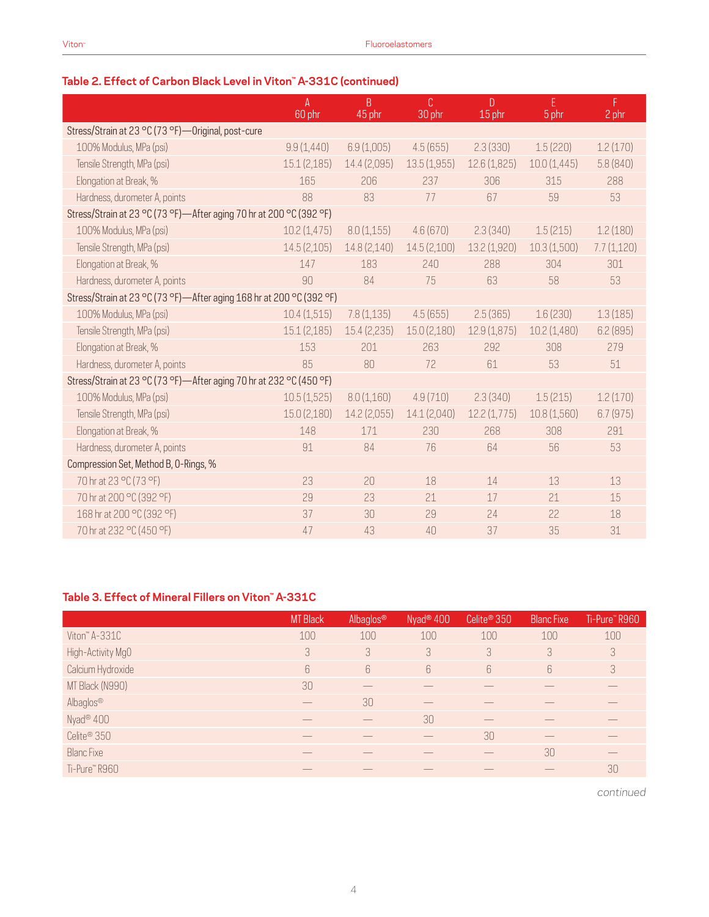| Table 2. Effect of Carbon Black Level in Viton" A-331C (continued) |  |  |  |  |
|--------------------------------------------------------------------|--|--|--|--|
|--------------------------------------------------------------------|--|--|--|--|

|                                                                      | $\mathsf{A}$<br>60 phr | B<br>45 phr  | C<br>30 phr  | D<br>15 phr  | F.<br>5 phr | F.<br>2 phr |
|----------------------------------------------------------------------|------------------------|--------------|--------------|--------------|-------------|-------------|
| Stress/Strain at 23 °C (73 °F)-Original, post-cure                   |                        |              |              |              |             |             |
| 100% Modulus, MPa (psi)                                              | 9.9(1,440)             | 6.9(1,005)   | 4.5(655)     | 2.3(330)     | 1.5(220)    | 1.2(170)    |
| Tensile Strength, MPa (psi)                                          | 15.1(2,185)            | 14.4 (2,095) | 13.5(1,955)  | 12.6(1,825)  | 10.0(1,445) | 5.8(840)    |
| Elongation at Break, %                                               | 165                    | 206          | 237          | 306          | 315         | 288         |
| Hardness, durometer A, points                                        | 88                     | 83           | 77           | 67           | 59          | 53          |
| Stress/Strain at 23 °C (73 °F)—After aging 70 hr at 200 °C (392 °F)  |                        |              |              |              |             |             |
| 100% Modulus, MPa (psi)                                              | 10.2(1,475)            | 8.0(1,155)   | 4.6(670)     | 2.3(340)     | 1.5(215)    | 1.2(180)    |
| Tensile Strength, MPa (psi)                                          | 14.5(2,105)            | 14.8(2,140)  | 14.5(2,100)  | 13.2 (1,920) | 10.3(1,500) | 7.7(1,120)  |
| Elongation at Break, %                                               | 147                    | 183          | 240          | 288          | 304         | 301         |
| Hardness, durometer A, points                                        | 90                     | 84           | 75           | 63           | 58          | 53          |
| Stress/Strain at 23 °C (73 °F)-After aging 168 hr at 200 °C (392 °F) |                        |              |              |              |             |             |
| 100% Modulus, MPa (psi)                                              | 10.4(1,515)            | 7.8(1,135)   | 4.5(655)     | 2.5(365)     | 1.6(230)    | 1.3(185)    |
| Tensile Strength, MPa (psi)                                          | 15.1(2,185)            | 15.4(2,235)  | 15.0 (2,180) | 12.9(1,875)  | 10.2(1,480) | 6.2(895)    |
| Elongation at Break, %                                               | 153                    | 201          | 263          | 292          | 308         | 279         |
| Hardness, durometer A, points                                        | 85                     | 80           | 72           | 61           | 53          | 51          |
| Stress/Strain at 23 °C (73 °F)—After aging 70 hr at 232 °C (450 °F)  |                        |              |              |              |             |             |
| 100% Modulus, MPa (psi)                                              | 10.5(1,525)            | 8.0(1,160)   | 4.9(710)     | 2.3(340)     | 1.5(215)    | 1.2(170)    |
| Tensile Strength, MPa (psi)                                          | 15.0(2,180)            | 14.2 (2,055) | 14.1 (2,040) | 12.2(1,775)  | 10.8(1,560) | 6.7(975)    |
| Elongation at Break, %                                               | 148                    | 171          | 230          | 268          | 308         | 291         |
| Hardness, durometer A, points                                        | 91                     | 84           | 76           | 64           | 56          | 53          |
| Compression Set, Method B, O-Rings, %                                |                        |              |              |              |             |             |
| 70 hr at 23 °C (73 °F)                                               | 23                     | 20           | 18           | 14           | 13          | 13          |
| 70 hr at 200 °C (392 °F)                                             | 29                     | 23           | 21           | 17           | 21          | 15          |
| 168 hr at 200 °C (392 °F)                                            | 37                     | 30           | 29           | 24           | 22          | 18          |
| 70 hr at 232 °C (450 °F)                                             | 47                     | 43           | 40           | 37           | 35          | 31          |

#### **Table 3. Effect of Mineral Fillers on Viton™ A-331C**

|                         | <b>MT Black</b> | Albaglos®        | Nyad <sup>®</sup> 400 | Celite <sup>®</sup> 350 | <b>Blanc Fixe</b> | Ti-Pure" R960 |
|-------------------------|-----------------|------------------|-----------------------|-------------------------|-------------------|---------------|
| Viton" A-331C           | 100             | 100              | 100                   | 100                     | 100               | 100           |
| High-Activity MgO       | 3               | 3                | 3                     | 3                       | 3                 | 3             |
| Calcium Hydroxide       | 6               | $6 \overline{6}$ | 6                     | 6                       | $6\overline{6}$   | 3             |
| MT Black (N990)         | 30 <sup>°</sup> |                  |                       |                         |                   |               |
| Albaglos®               |                 | 30               |                       |                         |                   |               |
| Nyad <sup>®</sup> 400   |                 |                  | 30                    |                         |                   |               |
| Celite <sup>®</sup> 350 |                 |                  |                       | 30                      |                   |               |
| <b>Blanc Fixe</b>       |                 |                  |                       |                         | 30                |               |
| Ti-Pure™R960            |                 |                  |                       |                         |                   | 30            |

*continued*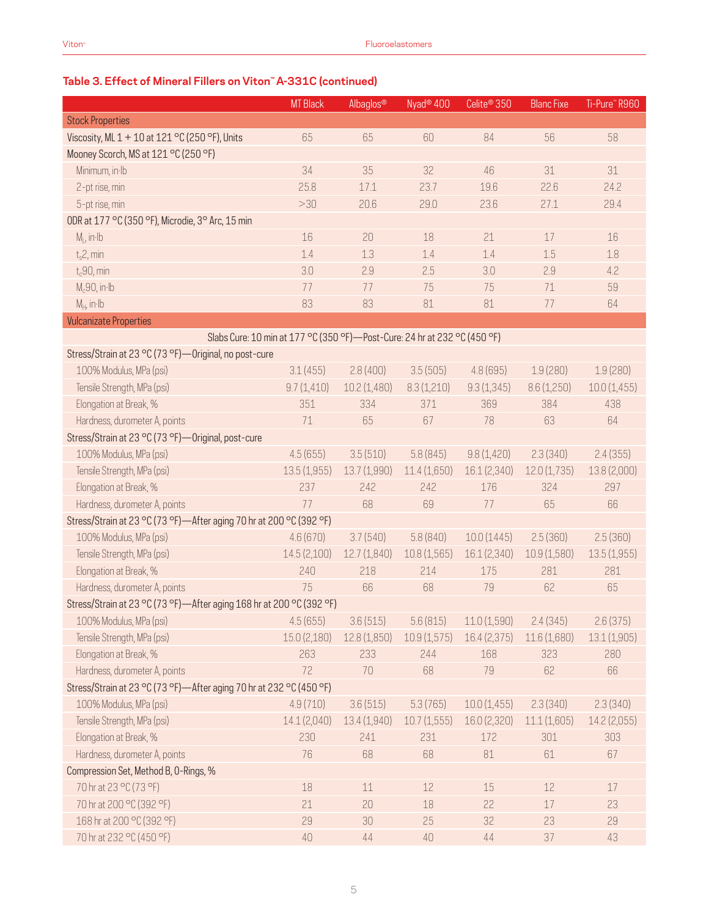# **Table 3. Effect of Mineral Fillers on Viton™ A-331C (continued)**

|                                                                             | <b>MT</b> Black | Albaglos®    | Nyad <sup>®</sup> 400 | Celite <sup>®</sup> 350 | <b>Blanc Fixe</b> | Ti-Pure" R960 |
|-----------------------------------------------------------------------------|-----------------|--------------|-----------------------|-------------------------|-------------------|---------------|
| <b>Stock Properties</b>                                                     |                 |              |                       |                         |                   |               |
| Viscosity, ML 1 + 10 at 121 °C (250 °F), Units                              | 65              | 65           | 60                    | 84                      | 56                | 58            |
| Mooney Scorch, MS at 121 °C (250 °F)                                        |                 |              |                       |                         |                   |               |
| Minimum, in Ib                                                              | 34              | 35           | 32                    | 46                      | 31                | 31            |
| 2-pt rise, min                                                              | 25.8            | 17.1         | 23.7                  | 19.6                    | 22.6              | 24.2          |
| 5-pt rise, min                                                              | >30             | 20.6         | 29.0                  | 23.6                    | 27.1              | 29.4          |
| ODR at 177 °C (350 °F), Microdie, 3° Arc, 15 min                            |                 |              |                       |                         |                   |               |
| $M1$ , in Ib                                                                | 16              | 20           | 18                    | 21                      | 17                | 16            |
| $t_s$ 2, min                                                                | 1.4             | 1.3          | 1.4                   | 1.4                     | 1.5               | 1.8           |
| $t_c$ 90, min                                                               | 3.0             | 2.9          | 2.5                   | 3.0                     | 2.9               | 4.2           |
| $M_c90$ , in Ib                                                             | 77              | 77           | 75                    | 75                      | 71                | 59            |
| $M_H$ , in Ib                                                               | 83              | 83           | 81                    | 81                      | 77                | 64            |
| <b>Vulcanizate Properties</b>                                               |                 |              |                       |                         |                   |               |
| Slabs Cure: 10 min at 177 °C (350 °F) - Post-Cure: 24 hr at 232 °C (450 °F) |                 |              |                       |                         |                   |               |
| Stress/Strain at 23 °C (73 °F)-Original, no post-cure                       |                 |              |                       |                         |                   |               |
| 100% Modulus, MPa (psi)                                                     | 3.1(455)        | 2.8(400)     | 3.5(505)              | 4.8(695)                | 1.9(280)          | 1.9(280)      |
| Tensile Strength, MPa (psi)                                                 | 9.7(1,410)      | 10.2 (1,480) | 8.3(1,210)            | 9.3(1,345)              | 8.6(1,250)        | 10.0(1,455)   |
| Elongation at Break, %                                                      | 351             | 334          | 371                   | 369                     | 384               | 438           |
| Hardness, durometer A, points                                               | 71              | 65           | 67                    | 78                      | 63                | 64            |
| Stress/Strain at 23 °C (73 °F) - Original, post-cure                        |                 |              |                       |                         |                   |               |
| 100% Modulus, MPa (psi)                                                     | 4.5(655)        | 3.5(510)     | 5.8(845)              | 9.8(1,420)              | 2.3(340)          | 2.4(355)      |
| Tensile Strength, MPa (psi)                                                 | 13.5(1,955)     | 13.7(1,990)  | 11.4 (1,650)          | 16.1 (2,340)            | 12.0(1,735)       | 13.8 (2,000)  |
| Elongation at Break, %                                                      | 237             | 242          | 242                   | 176                     | 324               | 297           |
| Hardness, durometer A, points                                               | 77              | 68           | 69                    | 77                      | 65                | 66            |
| Stress/Strain at 23 °C (73 °F)-After aging 70 hr at 200 °C (392 °F)         |                 |              |                       |                         |                   |               |
| 100% Modulus, MPa (psi)                                                     | 4.6(670)        | 3.7(540)     | 5.8(840)              | 10.0(1445)              | 2.5(360)          | 2.5(360)      |
| Tensile Strength, MPa (psi)                                                 | 14.5 (2,100)    | 12.7 (1,840) | 10.8(1,565)           | 16.1 (2,340)            | 10.9(1,580)       | 13.5(1,955)   |
| Elongation at Break, %                                                      | 240             | 218          | 214                   | 175                     | 281               | 281           |
| Hardness, durometer A, points                                               | 75              | 66           | 68                    | 79                      | 62                | 65            |
| Stress/Strain at 23 °C (73 °F)-After aging 168 hr at 200 °C (392 °F)        |                 |              |                       |                         |                   |               |
| 100% Modulus, MPa (psi)                                                     | 4.5(655)        | 3.6(515)     | 5.6(815)              | 11.0 (1,590)            | 2.4(345)          | 2.6(375)      |
| Tensile Strength, MPa (psi)                                                 | 15.0 (2,180)    | 12.8 (1,850) | 10.9(1,575)           | 16.4 (2,375)            | 11.6 (1,680)      | 13.1(1,905)   |
| Elongation at Break, %                                                      | 263             | 233          | 244                   | 168                     | 323               | 280           |
| Hardness, durometer A, points                                               | 72              | 70           | 68                    | 79                      | 62                | 66            |
| Stress/Strain at 23 °C (73 °F)-After aging 70 hr at 232 °C (450 °F)         |                 |              |                       |                         |                   |               |
| 100% Modulus, MPa (psi)                                                     | 4.9(710)        | 3.6(515)     | 5.3(765)              | 10.0(1,455)             | 2.3(340)          | 2.3(340)      |
| Tensile Strength, MPa (psi)                                                 | 14.1 (2,040)    | 13.4 (1,940) | 10.7(1,555)           | 16.0 (2,320)            | 11.1(1,605)       | 14.2 (2,055)  |
| Elongation at Break, %                                                      | 230             | 241          | 231                   | 172                     | 301               | 303           |
| Hardness, durometer A, points                                               | 76              | 68           | 68                    | 81                      | 61                | 67            |
| Compression Set, Method B, O-Rings, %                                       |                 |              |                       |                         |                   |               |
| 70 hr at 23 °C (73 °F)                                                      | 18              | $11\,$       | 12                    | 15                      | $12\,$            | 17            |
| 70 hr at 200 °C (392 °F)                                                    | 21              | 20           | 18                    | 22                      | 17                | 23            |
| 168 hr at 200 °C (392 °F)                                                   | 29              | 30           | 25                    | 32                      | 23                | 29            |
| 70 hr at 232 °C (450 °F)                                                    | 40              | 44           | 40                    | $44\,$                  | 37                | 43            |